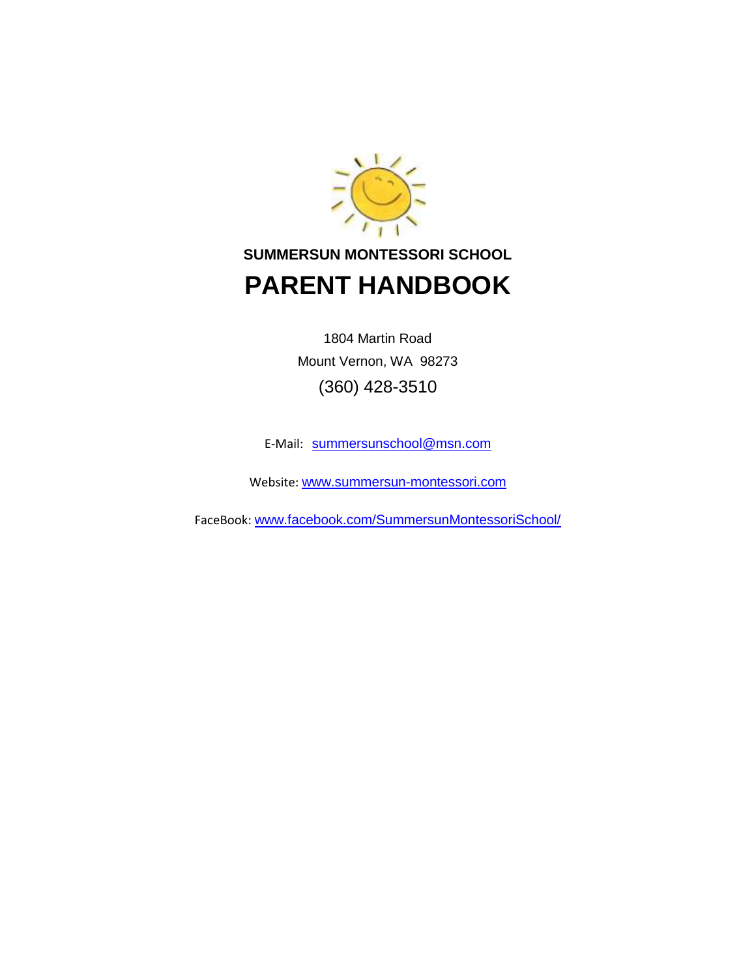

# **SUMMERSUN MONTESSORI SCHOOL PARENT HANDBOOK**

1804 Martin Road Mount Vernon, WA 98273 (360) 428-3510

E-Mail: [summersunschool@msn.com](mailto:summersunschool@msn.com)

Website: [www.summersun-montessori.com](http://www.summersun-montessori.com/)

FaceBook: [www.facebook.com/SummersunMontessoriSchool/](http://www.facebook.com/SummersunMontessoriSchool/)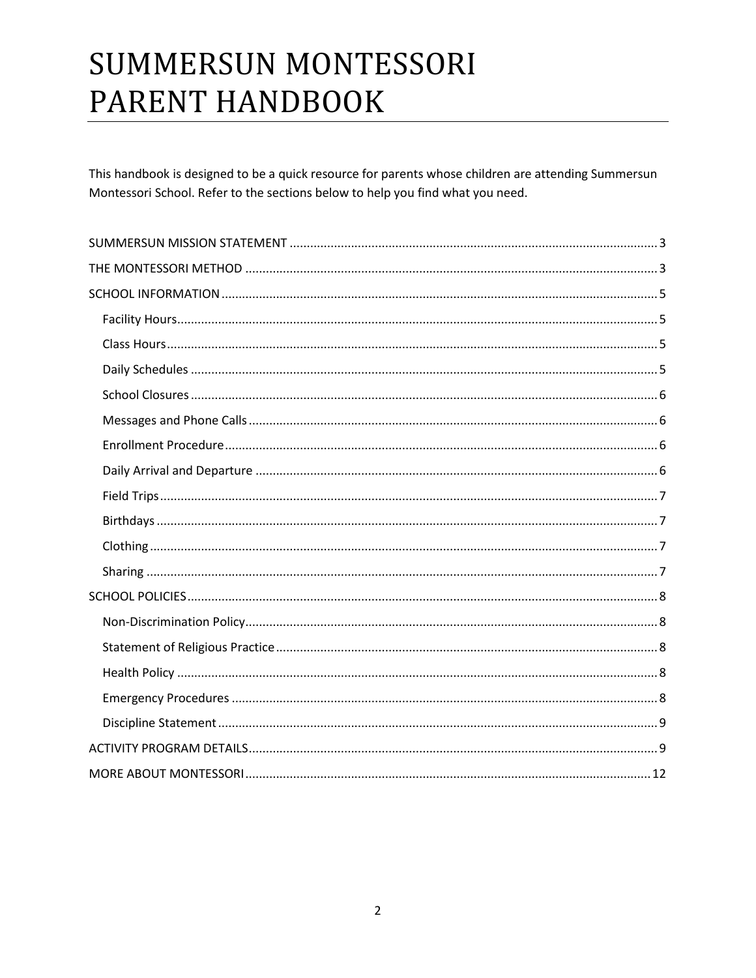# **SUMMERSUN MONTESSORI** PARENT HANDBOOK

This handbook is designed to be a quick resource for parents whose children are attending Summersun Montessori School. Refer to the sections below to help you find what you need.

<span id="page-1-0"></span>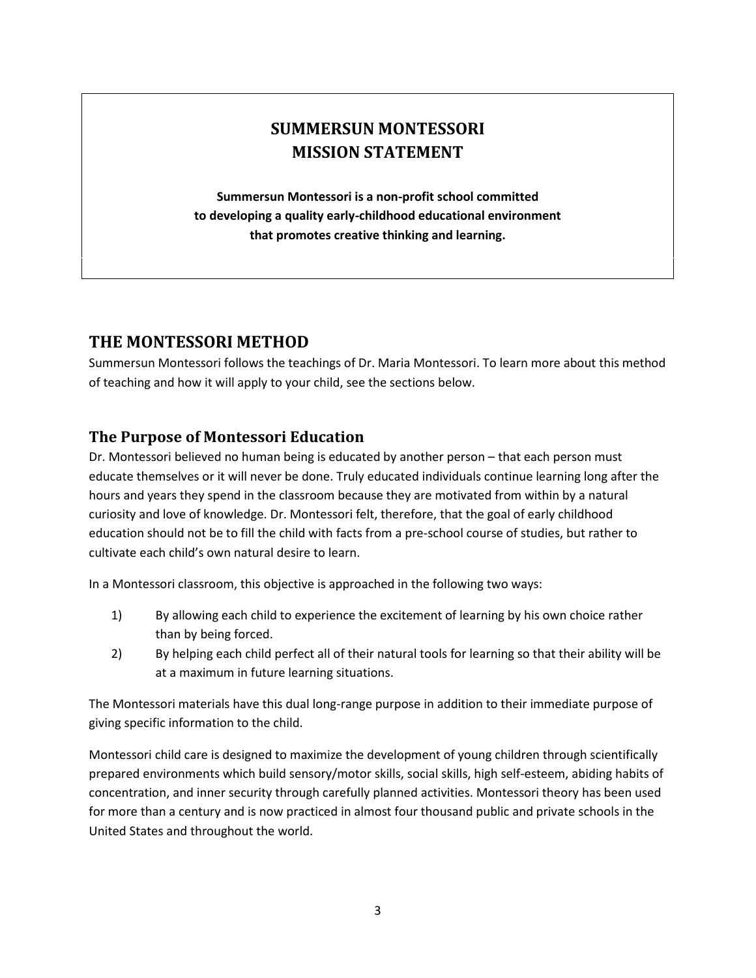# **SUMMERSUN MONTESSORI MISSION STATEMENT**

**Summersun Montessori is a non-profit school committed to developing a quality early-childhood educational environment that promotes creative thinking and learning.**

# <span id="page-2-0"></span>**THE MONTESSORI METHOD**

Summersun Montessori follows the teachings of Dr. Maria Montessori. To learn more about this method of teaching and how it will apply to your child, see the sections below.

#### **The Purpose of Montessori Education**

Dr. Montessori believed no human being is educated by another person – that each person must educate themselves or it will never be done. Truly educated individuals continue learning long after the hours and years they spend in the classroom because they are motivated from within by a natural curiosity and love of knowledge. Dr. Montessori felt, therefore, that the goal of early childhood education should not be to fill the child with facts from a pre-school course of studies, but rather to cultivate each child's own natural desire to learn.

In a Montessori classroom, this objective is approached in the following two ways:

- 1) By allowing each child to experience the excitement of learning by his own choice rather than by being forced.
- 2) By helping each child perfect all of their natural tools for learning so that their ability will be at a maximum in future learning situations.

The Montessori materials have this dual long-range purpose in addition to their immediate purpose of giving specific information to the child.

Montessori child care is designed to maximize the development of young children through scientifically prepared environments which build sensory/motor skills, social skills, high self-esteem, abiding habits of concentration, and inner security through carefully planned activities. Montessori theory has been used for more than a century and is now practiced in almost four thousand public and private schools in the United States and throughout the world.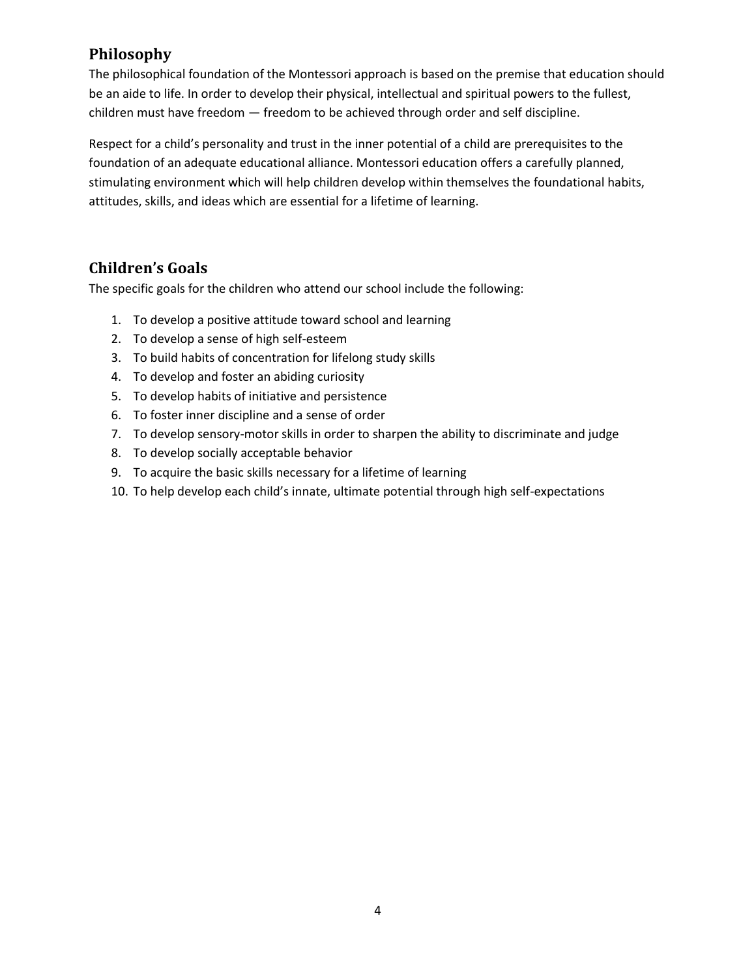# **Philosophy**

The philosophical foundation of the Montessori approach is based on the premise that education should be an aide to life. In order to develop their physical, intellectual and spiritual powers to the fullest, children must have freedom — freedom to be achieved through order and self discipline.

Respect for a child's personality and trust in the inner potential of a child are prerequisites to the foundation of an adequate educational alliance. Montessori education offers a carefully planned, stimulating environment which will help children develop within themselves the foundational habits, attitudes, skills, and ideas which are essential for a lifetime of learning.

# **Children's Goals**

The specific goals for the children who attend our school include the following:

- 1. To develop a positive attitude toward school and learning
- 2. To develop a sense of high self-esteem
- 3. To build habits of concentration for lifelong study skills
- 4. To develop and foster an abiding curiosity
- 5. To develop habits of initiative and persistence
- 6. To foster inner discipline and a sense of order
- 7. To develop sensory-motor skills in order to sharpen the ability to discriminate and judge
- 8. To develop socially acceptable behavior
- 9. To acquire the basic skills necessary for a lifetime of learning
- 10. To help develop each child's innate, ultimate potential through high self-expectations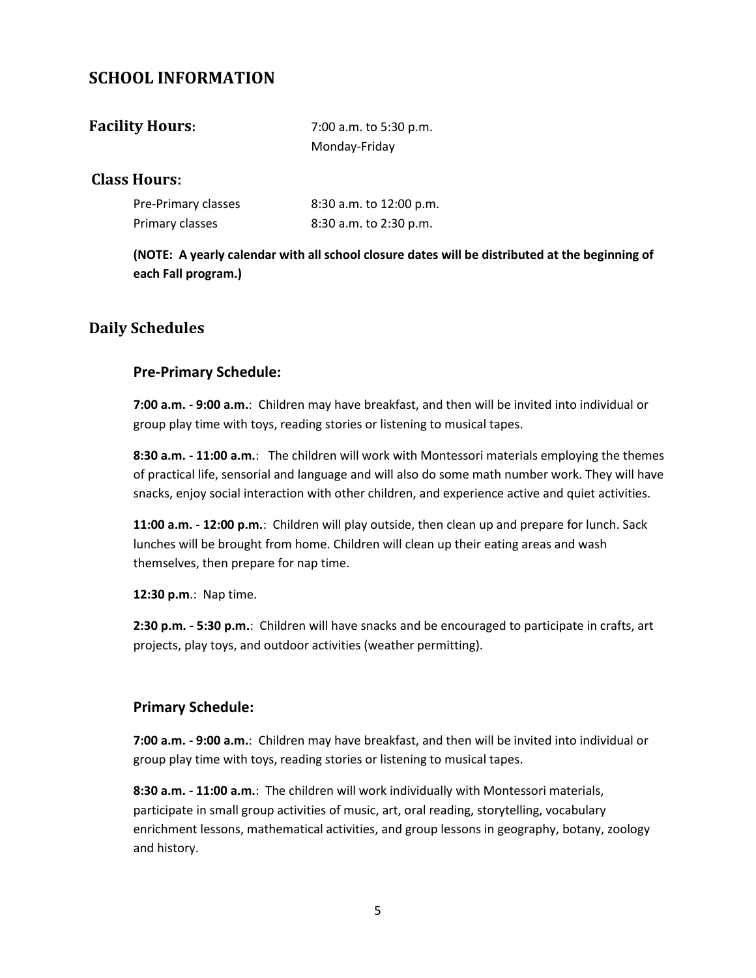#### <span id="page-4-0"></span>**SCHOOL INFORMATION**

<span id="page-4-1"></span>

| <b>Facility Hours:</b> | 7:00 a.m. to 5:30 p.m. |  |
|------------------------|------------------------|--|
|                        | Monday-Friday          |  |

#### <span id="page-4-2"></span>**Class Hours:**

| Pre-Primary classes | 8:30 a.m. to 12:00 p.m. |
|---------------------|-------------------------|
| Primary classes     | 8:30 a.m. to 2:30 p.m.  |

**(NOTE: A yearly calendar with all school closure dates will be distributed at the beginning of each Fall program.)**

#### <span id="page-4-3"></span>**Daily Schedules**

#### **Pre-Primary Schedule:**

**7:00 a.m. - 9:00 a.m.**: Children may have breakfast, and then will be invited into individual or group play time with toys, reading stories or listening to musical tapes.

**8:30 a.m. - 11:00 a.m.**: The children will work with Montessori materials employing the themes of practical life, sensorial and language and will also do some math number work. They will have snacks, enjoy social interaction with other children, and experience active and quiet activities.

**11:00 a.m. - 12:00 p.m.**: Children will play outside, then clean up and prepare for lunch. Sack lunches will be brought from home. Children will clean up their eating areas and wash themselves, then prepare for nap time.

**12:30 p.m**.: Nap time.

**2:30 p.m.** *-* **5:30 p.m.**: Children will have snacks and be encouraged to participate in crafts, art projects, play toys, and outdoor activities (weather permitting).

#### **Primary Schedule:**

**7:00 a.m. - 9:00 a.m.**: Children may have breakfast, and then will be invited into individual or group play time with toys, reading stories or listening to musical tapes.

**8:30 a.m. - 11:00 a.m.**: The children will work individually with Montessori materials, participate in small group activities of music, art, oral reading, storytelling, vocabulary enrichment lessons, mathematical activities, and group lessons in geography, botany, zoology and history.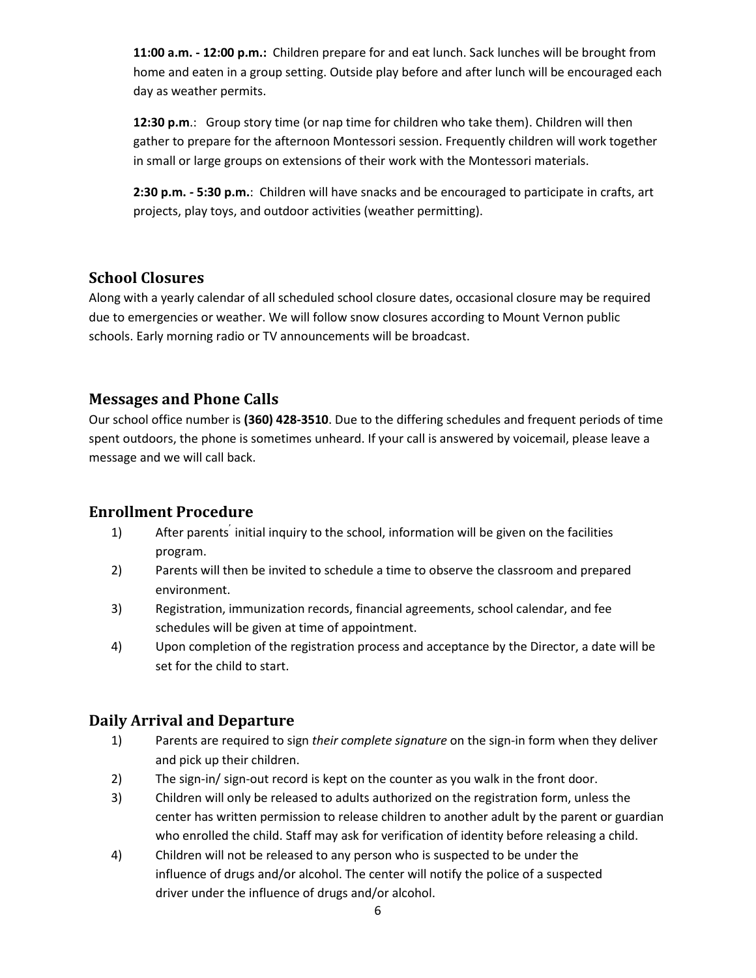**11:00 a.m. - 12:00 p.m.:** Children prepare for and eat lunch. Sack lunches will be brought from home and eaten in a group setting. Outside play before and after lunch will be encouraged each day as weather permits.

**12:30 p.m**.: Group story time (or nap time for children who take them). Children will then gather to prepare for the afternoon Montessori session. Frequently children will work together in small or large groups on extensions of their work with the Montessori materials.

**2:30 p.m.** *-* **5:30 p.m.**: Children will have snacks and be encouraged to participate in crafts, art projects, play toys, and outdoor activities (weather permitting).

#### <span id="page-5-0"></span>**School Closures**

Along with a yearly calendar of all scheduled school closure dates, occasional closure may be required due to emergencies or weather. We will follow snow closures according to Mount Vernon public schools. Early morning radio or TV announcements will be broadcast.

#### <span id="page-5-1"></span>**Messages and Phone Calls**

Our school office number is **(360) 428-3510**. Due to the differing schedules and frequent periods of time spent outdoors, the phone is sometimes unheard. If your call is answered by voicemail, please leave a message and we will call back.

#### <span id="page-5-2"></span>**Enrollment Procedure**

- 1) After parents' initial inquiry to the school, information will be given on the facilities program.
- 2) Parents will then be invited to schedule a time to observe the classroom and prepared environment.
- 3) Registration, immunization records, financial agreements, school calendar, and fee schedules will be given at time of appointment.
- 4) Upon completion of the registration process and acceptance by the Director, a date will be set for the child to start.

#### <span id="page-5-3"></span>**Daily Arrival and Departure**

- 1) Parents are required to sign *their complete signature* on the sign-in form when they deliver and pick up their children.
- 2) The sign-in/ sign-out record is kept on the counter as you walk in the front door.
- 3) Children will only be released to adults authorized on the registration form, unless the center has written permission to release children to another adult by the parent or guardian who enrolled the child. Staff may ask for verification of identity before releasing a child.
- 4) Children will not be released to any person who is suspected to be under the influence of drugs and/or alcohol. The center will notify the police of a suspected driver under the influence of drugs and/or alcohol.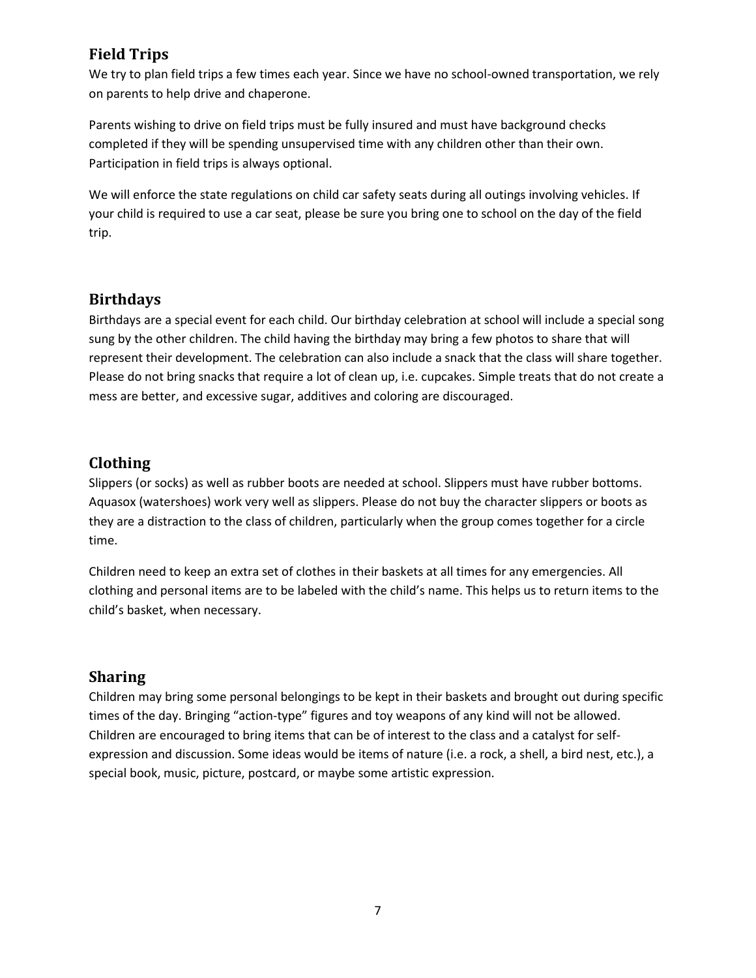# <span id="page-6-0"></span>**Field Trips**

We try to plan field trips a few times each year. Since we have no school-owned transportation, we rely on parents to help drive and chaperone.

Parents wishing to drive on field trips must be fully insured and must have background checks completed if they will be spending unsupervised time with any children other than their own. Participation in field trips is always optional.

We will enforce the state regulations on child car safety seats during all outings involving vehicles. If your child is required to use a car seat, please be sure you bring one to school on the day of the field trip.

#### <span id="page-6-1"></span>**Birthdays**

Birthdays are a special event for each child. Our birthday celebration at school will include a special song sung by the other children. The child having the birthday may bring a few photos to share that will represent their development. The celebration can also include a snack that the class will share together. Please do not bring snacks that require a lot of clean up, i.e. cupcakes. Simple treats that do not create a mess are better, and excessive sugar, additives and coloring are discouraged.

## <span id="page-6-2"></span>**Clothing**

Slippers (or socks) as well as rubber boots are needed at school. Slippers must have rubber bottoms. Aquasox (watershoes) work very well as slippers. Please do not buy the character slippers or boots as they are a distraction to the class of children, particularly when the group comes together for a circle time.

Children need to keep an extra set of clothes in their baskets at all times for any emergencies. All clothing and personal items are to be labeled with the child's name. This helps us to return items to the child's basket, when necessary.

#### <span id="page-6-3"></span>**Sharing**

Children may bring some personal belongings to be kept in their baskets and brought out during specific times of the day. Bringing "action-type" figures and toy weapons of any kind will not be allowed. Children are encouraged to bring items that can be of interest to the class and a catalyst for selfexpression and discussion. Some ideas would be items of nature (i.e. a rock, a shell, a bird nest, etc.), a special book, music, picture, postcard, or maybe some artistic expression.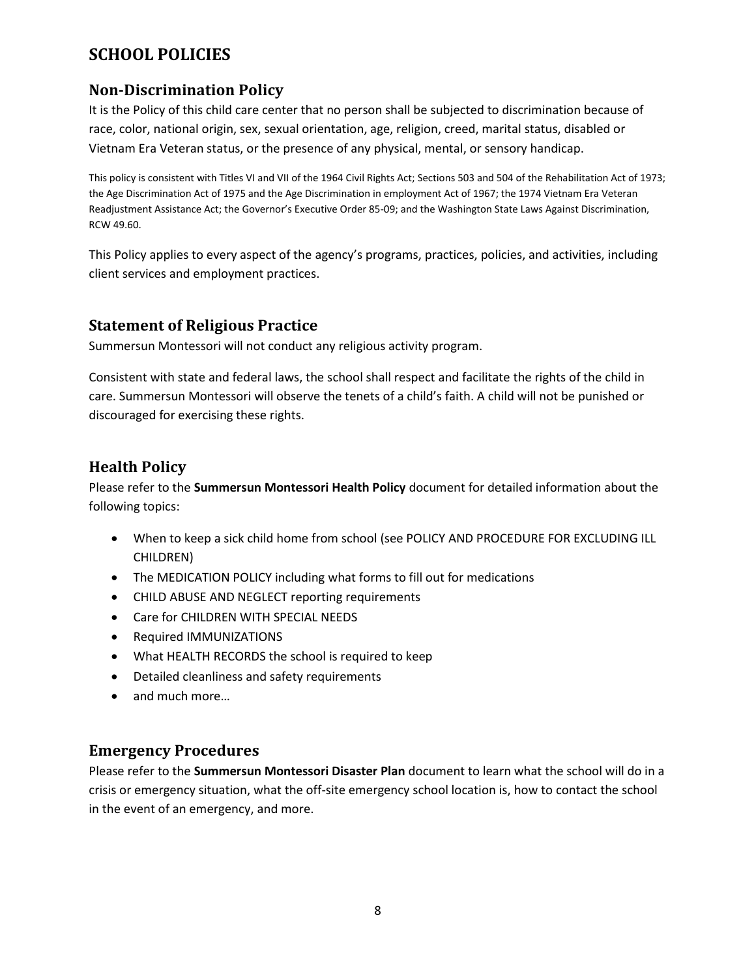# <span id="page-7-0"></span>**SCHOOL POLICIES**

# <span id="page-7-1"></span>**Non-Discrimination Policy**

It is the Policy of this child care center that no person shall be subjected to discrimination because of race, color, national origin, sex, sexual orientation, age, religion, creed, marital status, disabled or Vietnam Era Veteran status, or the presence of any physical, mental, or sensory handicap.

This policy is consistent with Titles VI and VII of the 1964 Civil Rights Act; Sections 503 and 504 of the Rehabilitation Act of 1973; the Age Discrimination Act of 1975 and the Age Discrimination in employment Act of 1967; the 1974 Vietnam Era Veteran Readjustment Assistance Act; the Governor's Executive Order 85-09; and the Washington State Laws Against Discrimination, RCW 49.60.

This Policy applies to every aspect of the agency's programs, practices, policies, and activities, including client services and employment practices.

#### <span id="page-7-2"></span>**Statement of Religious Practice**

Summersun Montessori will not conduct any religious activity program.

Consistent with state and federal laws, the school shall respect and facilitate the rights of the child in care. Summersun Montessori will observe the tenets of a child's faith. A child will not be punished or discouraged for exercising these rights.

#### <span id="page-7-3"></span>**Health Policy**

Please refer to the **Summersun Montessori Health Policy** document for detailed information about the following topics:

- When to keep a sick child home from school (see POLICY AND PROCEDURE FOR EXCLUDING ILL CHILDREN)
- The MEDICATION POLICY including what forms to fill out for medications
- CHILD ABUSE AND NEGLECT reporting requirements
- Care for CHILDREN WITH SPECIAL NEEDS
- Required IMMUNIZATIONS
- What HEALTH RECORDS the school is required to keep
- Detailed cleanliness and safety requirements
- and much more...

#### <span id="page-7-4"></span>**Emergency Procedures**

Please refer to the **Summersun Montessori Disaster Plan** document to learn what the school will do in a crisis or emergency situation, what the off-site emergency school location is, how to contact the school in the event of an emergency, and more.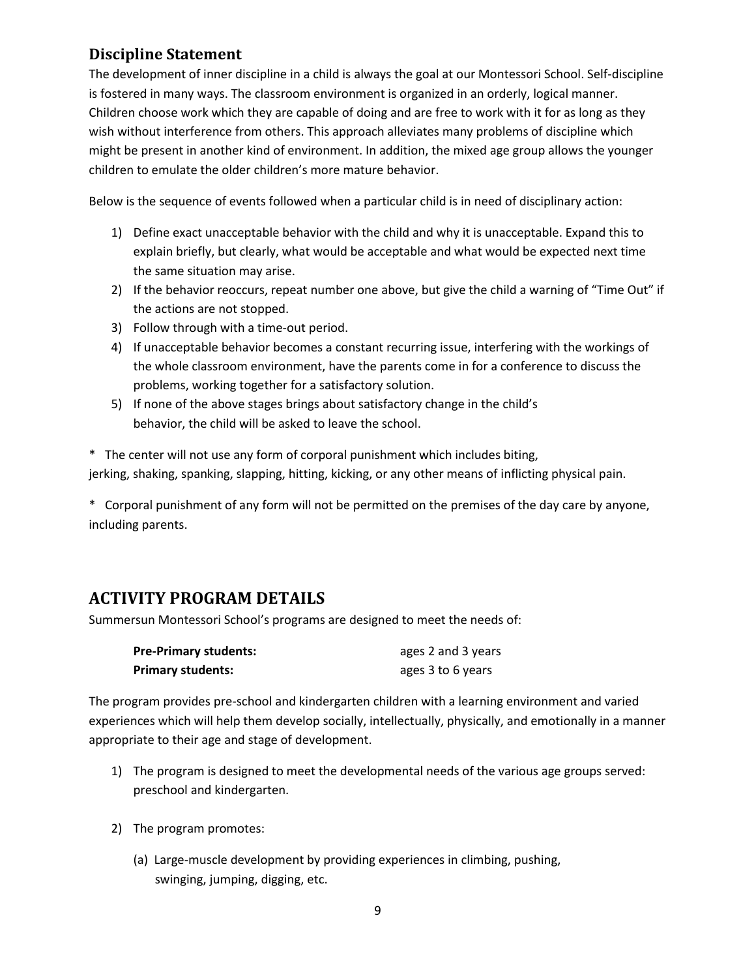#### <span id="page-8-0"></span>**Discipline Statement**

The development of inner discipline in a child is always the goal at our Montessori School. Self-discipline is fostered in many ways. The classroom environment is organized in an orderly, logical manner. Children choose work which they are capable of doing and are free to work with it for as long as they wish without interference from others. This approach alleviates many problems of discipline which might be present in another kind of environment. In addition, the mixed age group allows the younger children to emulate the older children's more mature behavior.

Below is the sequence of events followed when a particular child is in need of disciplinary action:

- 1) Define exact unacceptable behavior with the child and why it is unacceptable. Expand this to explain briefly, but clearly, what would be acceptable and what would be expected next time the same situation may arise.
- 2) If the behavior reoccurs, repeat number one above, but give the child a warning of "Time Out" if the actions are not stopped.
- 3) Follow through with a time-out period.
- 4) If unacceptable behavior becomes a constant recurring issue, interfering with the workings of the whole classroom environment, have the parents come in for a conference to discuss the problems, working together for a satisfactory solution.
- 5) If none of the above stages brings about satisfactory change in the child's behavior, the child will be asked to leave the school.

\* The center will not use any form of corporal punishment which includes biting, jerking, shaking, spanking, slapping, hitting, kicking, or any other means of inflicting physical pain.

\* Corporal punishment of any form will not be permitted on the premises of the day care by anyone, including parents.

# <span id="page-8-1"></span>**ACTIVITY PROGRAM DETAILS**

Summersun Montessori School's programs are designed to meet the needs of:

| <b>Pre-Primary students:</b> | ages 2 and 3 years |
|------------------------------|--------------------|
| <b>Primary students:</b>     | ages 3 to 6 years  |

The program provides pre-school and kindergarten children with a learning environment and varied experiences which will help them develop socially, intellectually, physically, and emotionally in a manner appropriate to their age and stage of development.

- 1) The program is designed to meet the developmental needs of the various age groups served: preschool and kindergarten.
- 2) The program promotes:
	- (a) Large-muscle development by providing experiences in climbing, pushing, swinging, jumping, digging, etc.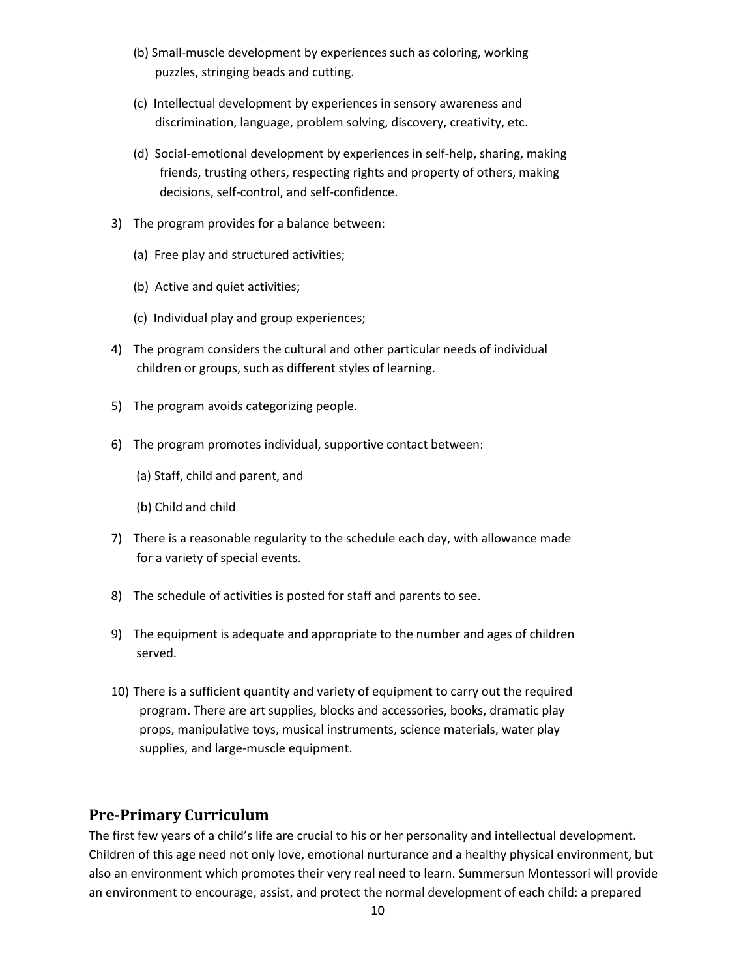- (b) Small-muscle development by experiences such as coloring, working puzzles, stringing beads and cutting.
- (c) Intellectual development by experiences in sensory awareness and discrimination, language, problem solving, discovery, creativity, etc.
- (d) Social-emotional development by experiences in self-help, sharing, making friends, trusting others, respecting rights and property of others, making decisions, self-control, and self-confidence.
- 3) The program provides for a balance between:
	- (a) Free play and structured activities;
	- (b) Active and quiet activities;
	- (c) Individual play and group experiences;
- 4) The program considers the cultural and other particular needs of individual children or groups, such as different styles of learning.
- 5) The program avoids categorizing people.
- 6) The program promotes individual, supportive contact between:
	- (a) Staff, child and parent, and
	- (b) Child and child
- 7) There is a reasonable regularity to the schedule each day, with allowance made for a variety of special events.
- 8) The schedule of activities is posted for staff and parents to see.
- 9) The equipment is adequate and appropriate to the number and ages of children served.
- 10) There is a sufficient quantity and variety of equipment to carry out the required program. There are art supplies, blocks and accessories, books, dramatic play props, manipulative toys, musical instruments, science materials, water play supplies, and large-muscle equipment.

#### **Pre-Primary Curriculum**

The first few years of a child's life are crucial to his or her personality and intellectual development. Children of this age need not only love, emotional nurturance and a healthy physical environment, but also an environment which promotes their very real need to learn. Summersun Montessori will provide an environment to encourage, assist, and protect the normal development of each child: a prepared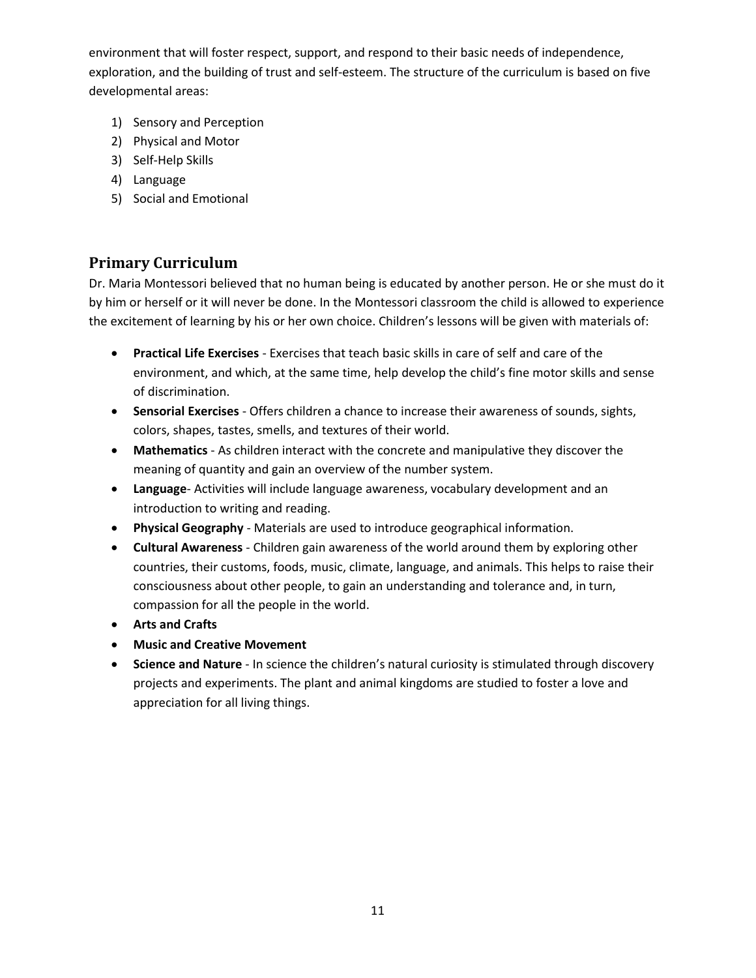environment that will foster respect, support, and respond to their basic needs of independence, exploration, and the building of trust and self-esteem. The structure of the curriculum is based on five developmental areas:

- 1) Sensory and Perception
- 2) Physical and Motor
- 3) Self-Help Skills
- 4) Language
- 5) Social and Emotional

#### **Primary Curriculum**

Dr. Maria Montessori believed that no human being is educated by another person. He or she must do it by him or herself or it will never be done. In the Montessori classroom the child is allowed to experience the excitement of learning by his or her own choice. Children's lessons will be given with materials of:

- **Practical Life Exercises** Exercises that teach basic skills in care of self and care of the environment, and which, at the same time, help develop the child's fine motor skills and sense of discrimination.
- **Sensorial Exercises** Offers children a chance to increase their awareness of sounds, sights, colors, shapes, tastes, smells, and textures of their world.
- **Mathematics** As children interact with the concrete and manipulative they discover the meaning of quantity and gain an overview of the number system.
- **Language** Activities will include language awareness, vocabulary development and an introduction to writing and reading.
- **Physical Geography** Materials are used to introduce geographical information.
- **Cultural Awareness** Children gain awareness of the world around them by exploring other countries, their customs, foods, music, climate, language, and animals. This helps to raise their consciousness about other people, to gain an understanding and tolerance and, in turn, compassion for all the people in the world.
- **Arts and Crafts**
- **Music and Creative Movement**
- <span id="page-10-0"></span> **Science and Nature** - In science the children's natural curiosity is stimulated through discovery projects and experiments. The plant and animal kingdoms are studied to foster a love and appreciation for all living things.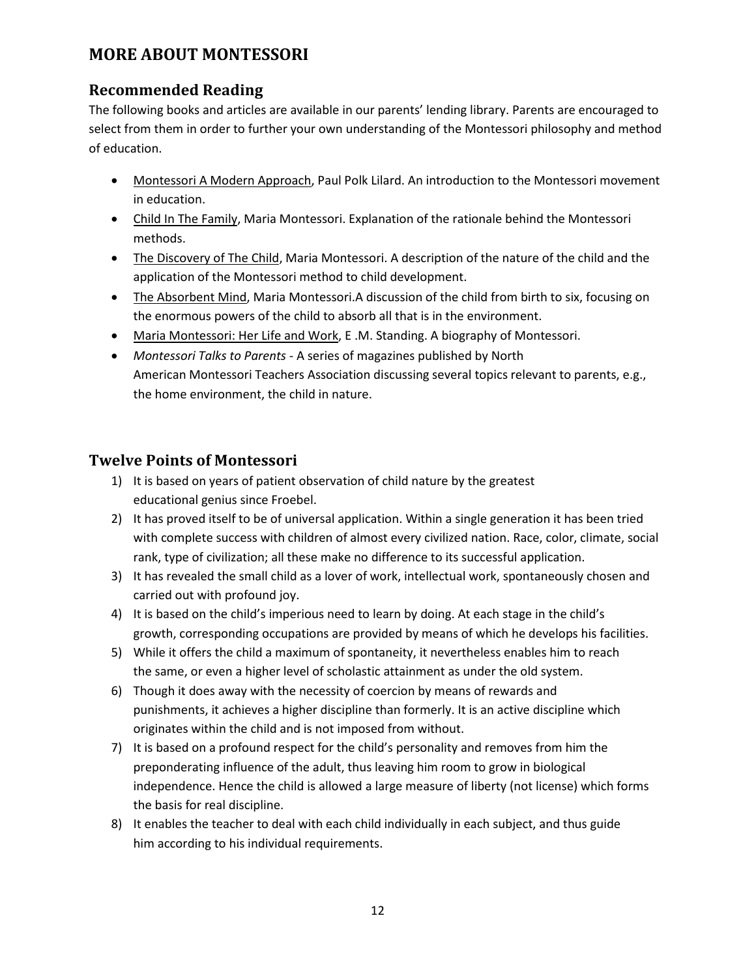# **MORE ABOUT MONTESSORI**

## **Recommended Reading**

The following books and articles are available in our parents' lending library. Parents are encouraged to select from them in order to further your own understanding of the Montessori philosophy and method of education.

- Montessori A Modern Approach, Paul Polk Lilard. An introduction to the Montessori movement in education.
- Child In The Family, Maria Montessori. Explanation of the rationale behind the Montessori methods.
- The Discovery of The Child, Maria Montessori. A description of the nature of the child and the application of the Montessori method to child development.
- The Absorbent Mind, Maria Montessori.A discussion of the child from birth to six, focusing on the enormous powers of the child to absorb all that is in the environment.
- Maria Montessori: Her Life and Work, E .M. Standing. A biography of Montessori.
- *Montessori Talks to Parents -* A series of magazines published by North American Montessori Teachers Association discussing several topics relevant to parents, e.g., the home environment, the child in nature.

#### **Twelve Points of Montessori**

- 1) It is based on years of patient observation of child nature by the greatest educational genius since Froebel.
- 2) It has proved itself to be of universal application. Within a single generation it has been tried with complete success with children of almost every civilized nation. Race, color, climate, social rank, type of civilization; all these make no difference to its successful application.
- 3) It has revealed the small child as a lover of work, intellectual work, spontaneously chosen and carried out with profound joy.
- 4) It is based on the child's imperious need to learn by doing. At each stage in the child's growth, corresponding occupations are provided by means of which he develops his facilities.
- 5) While it offers the child a maximum of spontaneity, it nevertheless enables him to reach the same, or even a higher level of scholastic attainment as under the old system.
- 6) Though it does away with the necessity of coercion by means of rewards and punishments, it achieves a higher discipline than formerly. It is an active discipline which originates within the child and is not imposed from without.
- 7) It is based on a profound respect for the child's personality and removes from him the preponderating influence of the adult, thus leaving him room to grow in biological independence. Hence the child is allowed a large measure of liberty (not license) which forms the basis for real discipline.
- 8) It enables the teacher to deal with each child individually in each subject, and thus guide him according to his individual requirements.